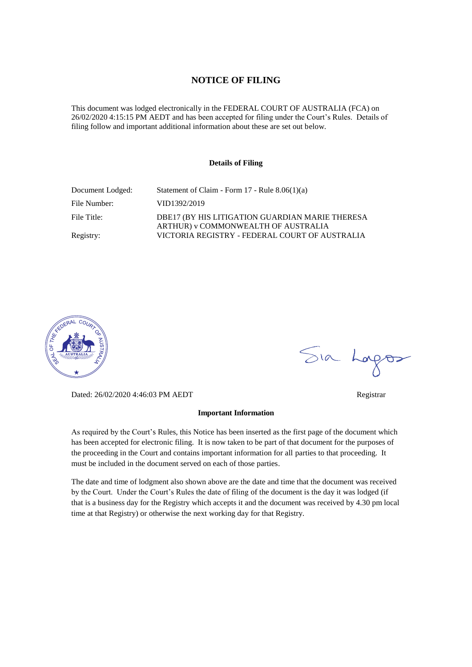#### **NOTICE OF FILING**

This document was lodged electronically in the FEDERAL COURT OF AUSTRALIA (FCA) on 26/02/2020 4:15:15 PM AEDT and has been accepted for filing under the Court's Rules. Details of filing follow and important additional information about these are set out below.

#### **Details of Filing**

| Document Lodged: | Statement of Claim - Form $17$ - Rule $8.06(1)(a)$                                     |
|------------------|----------------------------------------------------------------------------------------|
| File Number:     | VID1392/2019                                                                           |
| File Title:      | DBE17 (BY HIS LITIGATION GUARDIAN MARIE THERESA<br>ARTHUR) v COMMONWEALTH OF AUSTRALIA |
| Registry:        | VICTORIA REGISTRY - FEDERAL COURT OF AUSTRALIA                                         |



Dated: 26/02/2020 4:46:03 PM AEDT Registrar

#### **Important Information**

As required by the Court's Rules, this Notice has been inserted as the first page of the document which has been accepted for electronic filing. It is now taken to be part of that document for the purposes of the proceeding in the Court and contains important information for all parties to that proceeding. It must be included in the document served on each of those parties.

The date and time of lodgment also shown above are the date and time that the document was received by the Court. Under the Court's Rules the date of filing of the document is the day it was lodged (if that is a business day for the Registry which accepts it and the document was received by 4.30 pm local time at that Registry) or otherwise the next working day for that Registry.

Sia Logos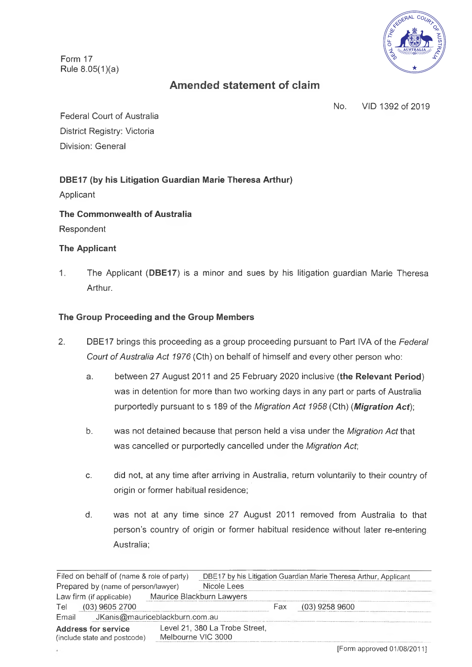Form 17 Rule  $8.05(1)(a)$ 



# **Amended statement of claim**

No. VID 1392 of 2019

Federal Court of Australia District Registry: Victoria Division: General

# **DBE17 (by his Litigation Guardian Marie Theresa Arthur)**

Applicant

# **The Commonwealth of Australia**

Respondent

## **The Applicant**

1. The Applicant **(DBE17)** is a minor and sues by his litigation guardian Marie Theresa Arthur.

## **The Group Proceeding and the Group Members**

- 2. DBE17 brings this proceeding as a group proceeding pursuant to Part IVA of the *Federal Court of Australia Act 1976* (Cth) on behalf of himself and every other person who:
	- a. between 27 August 2011 and 25 February 2020 inclusive **(the Relevant Period)** was in detention for more than two working days in any part or parts of Australia purportedly pursuant to s 189 of the *Migration Act 1958* (Cth) *(Migration Act)',*
	- b. was not detained because that person held a visa under the *Migration Act* that was cancelled or purportedly cancelled under the *Migration Act,*
	- c. did not, at any time after arriving in Australia, return voluntarily to their country of origin or former habitual residence;
	- d. was not at any time since 27 August 2011 removed from Australia to that person's country of origin or former habitual residence without later re-entering Australia;

| Filed on behalf of (name & role of party)                  |                    | DBE17 by his Litigation Guardian Marie Theresa Arthur, Applicant |      |                  |  |
|------------------------------------------------------------|--------------------|------------------------------------------------------------------|------|------------------|--|
| Prepared by (name of person/lawyer)                        |                    | Nicole Lees                                                      |      |                  |  |
| Law firm (if applicable)                                   |                    | Maurice Blackburn Lawyers                                        |      |                  |  |
| $(03)$ 9605 2700<br>Tel.                                   |                    |                                                                  | Fax. | $(03)$ 9258 9600 |  |
| JKanis@mauriceblackburn.com.au<br>Email                    |                    |                                                                  |      |                  |  |
| <b>Address for service</b><br>(include state and postcode) | Melbourne VIC 3000 | Level 21, 380 La Trobe Street,                                   |      |                  |  |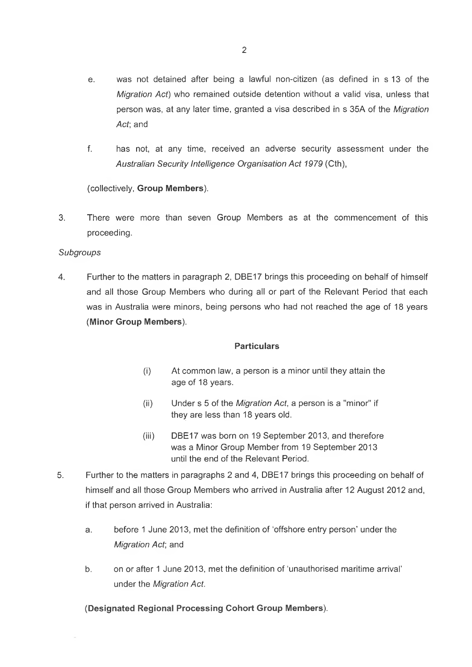- e. was not detained after being a lawful non-citizen (as defined in s13 of the *Migration Act*) who remained outside detention without a valid visa, unless that person was, at any later time, granted a visa described in s 35A of the *Migration Act*; and
- f. has not, at any time, received an adverse security assessment under the *Australian Security Intelligence Organisation Act 1979* (Cth),

(collectively, **Group Members).**

3. There were more than seven Group Members as at the commencement of this proceeding.

### *Subgroups*

4. Further to the matters in paragraph 2, DBE17 brings this proceeding on behalf of himself and all those Group Members who during all or part of the Relevant Period that each was in Australia were minors, being persons who had not reached the age of 18 years **(Minor Group Members).**

### **Particulars**

- (i) At common law, a person is a minor until they attain the age of 18 years.
- (ii) Under s 5 of the *Migration Act*, a person is a "minor" if they are less than 18 years old.
- (iii) DBE17 was born on 19 September 2013, and therefore was a Minor Group Member from 19 September 2013 until the end of the Relevant Period.
- 5. Further to the matters in paragraphs 2 and 4, DBE17 brings this proceeding on behalf of himself and all those Group Members who arrived in Australia after 12 August 2012 and, if that person arrived in Australia:
	- a. before <sup>1</sup> June 2013, met the definition of 'offshore entry person' under the *Migration Act*; and
	- b. on or after <sup>1</sup> June 2013, met the definition of 'unauthorised maritime arrival' under the *Migration Act.*

**(Designated Regional Processing Cohort Group Members).**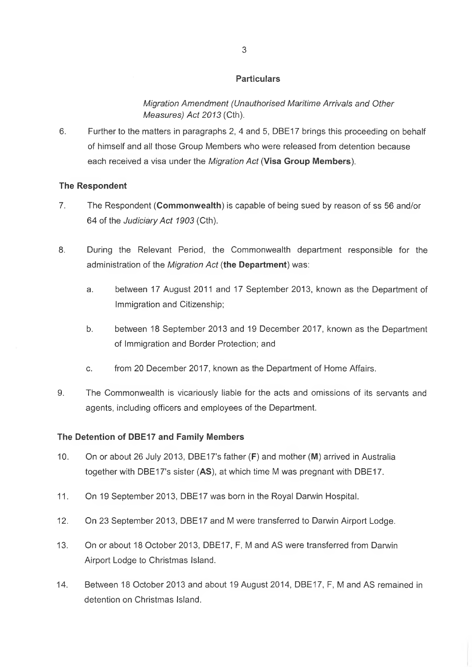*Migration Amendment (Unauthorised Maritime Arrivals and Other Measures) Act 2013* (Cth).

6. Further to the matters in paragraphs 2, 4 and 5, DBE17 brings this proceeding on behalf of himself and all those Group Members who were released from detention because each received a visa under the *Migration Act* **(Visa Group Members).**

### **The Respondent**

- 7. The Respondent **(Commonwealth)** is capable of being sued by reason of ss 56 and/or 64 of the *Judiciary Act 1903* (Cth).
- 8. During the Relevant Period, the Commonwealth department responsible for the administration of the *Migration Act* **(the Department)** was:
	- a. between 17 August 2011 and 17 September 2013, known as the Department of Immigration and Citizenship;
	- b. between 18 September 2013 and 19 December 2017, known as the Department of Immigration and Border Protection; and
	- c. from 20 December 2017, known as the Department of Home Affairs.
- 9. The Commonwealth is vicariously liable for the acts and omissions of its servants and agents, including officers and employees of the Department.

### **The Detention of DBE17 and Family Members**

- 10. On or about 26 July 2013, DBE17's father **(F)** and mother **(M)** arrived in Australia together with DBE17's sister **(AS),** at which time M was pregnant with DBE17.
- 11. On 19 September 2013, DBE17 was born in the Royal Darwin Hospital.
- 12. On 23 September 2013, DBE17 and M were transferred to Darwin Airport Lodge.
- 13. On or about 18 October 2013, DBE17, F, M and AS were transferred from Darwin Airport Lodge to Christmas Island.
- 14. Between 18 October 2013 and about 19 August 2014, DBE17, F, M and AS remained in detention on Christmas Island.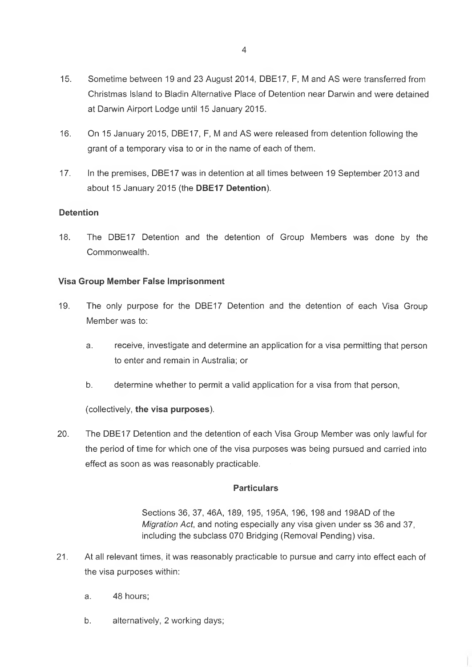- 15. Sometime between 19 and 23 August 2014, DBE17, F, M and AS were transferred from Christmas Island to Bladin Alternative Place of Detention near Darwin and were detained at Darwin Airport Lodge until 15 January 2015.
- 16. On 15 January 2015, DBE17, F, M and AS were released from detention following the grant of a temporary visa to or in the name of each of them.
- 17. In the premises, DBE17 was in detention at all times between 19 September 2013 and about 15 January 2015 (the **DBE17 Detention).**

### **Detention**

18. The DBE17 Detention and the detention of Group Members was done by the Commonwealth.

### **Visa Group Member False Imprisonment**

- 19. The only purpose for the DBE17 Detention and the detention of each Visa Group Member was to:
	- a. receive, investigate and determine an application for a visa permitting that person to enter and remain in Australia; or
	- b. determine whether to permit a valid application for a visa from that person,

### (collectively, **the visa purposes).**

20. The DBE17 Detention and the detention of each Visa Group Member was only lawful for the period of time for which one of the visa purposes was being pursued and carried into effect as soon as was reasonably practicable.

### **Particulars**

Sections 36, 37, 46A, 189, 195, 195A, 196, 198 and 198AD of the *Migration Act,* and noting especially any visa given under ss 36 and 37, including the subclass 070 Bridging (Removal Pending) visa.

- 21. At all relevant times, it was reasonably practicable to pursue and carry into effect each of the visa purposes within:
	- a. 48 hours;
	- b. alternatively, 2 working days;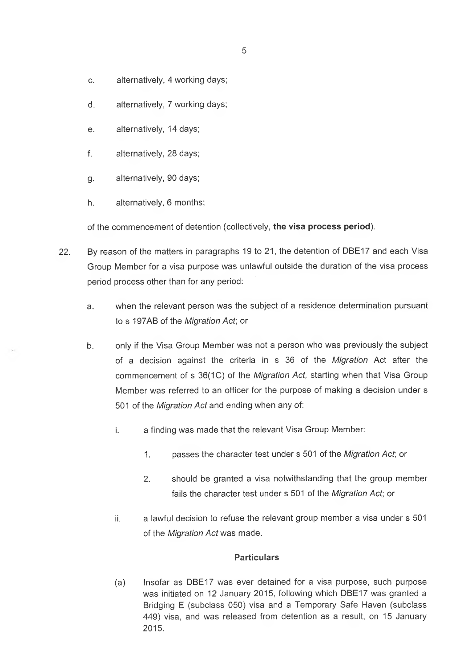- c. alternatively, 4 working days;
- d. alternatively, 7 working days;
- e. alternatively, 14 days;
- f. alternatively, 28 days;
- g. alternatively, 90 days;
- h. alternatively, 6 months;

of the commencement of detention (collectively, **the visa process period).**

- 22. By reason of the matters in paragraphs 19 to 21, the detention of DBE17 and each Visa Group Member for a visa purpose was unlawful outside the duration of the visa process period process other than for any period:
	- a. when the relevant person was the subject of a residence determination pursuant to s 197AB of the *Migration Act,* or
	- b. only if the Visa Group Member was not a person who was previously the subject of a decision against the criteria in s 36 of the *Migration* Act after the commencement of s 36(1C) of the *Migration Act*, starting when that Visa Group Member was referred to an officer for the purpose of making a decision under s 501 of the *Migration Act* and ending when any of:
		- i. a finding was made that the relevant Visa Group Member:
			- 1. passes the character test under s 501 of the *Migration Act*; or
			- 2. should be granted a visa notwithstanding that the group member fails the character test under s 501 of the *Migration Act,* or
		- ii. a lawful decision to refuse the relevant group member a visa under s 501 of the *Migration Act* was made.

## **Particulars**

(a) Insofar as DBE17 was ever detained for a visa purpose, such purpose was initiated on 12 January 2015, following which DBE17 was granted a Bridging E (subclass 050) visa and a Temporary Safe Haven (subclass 449) visa, and was released from detention as a result, on 15 January 2015.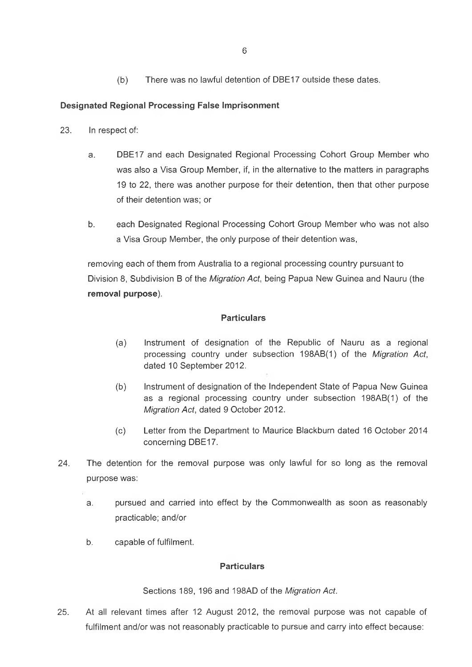(b) There was no lawful detention of DBE17 outside these dates.

### **Designated Regional Processing False Imprisonment**

- 23. In respect of:
	- a. DBE17 and each Designated Regional Processing Cohort Group Member who was also a Visa Group Member, if, in the alternative to the matters in paragraphs 19 to 22, there was another purpose for their detention, then that other purpose of their detention was; or
	- b. each Designated Regional Processing Cohort Group Member who was not also a Visa Group Member, the only purpose of their detention was,

removing each of them from Australia to a regional processing country pursuant to Division 8, Subdivision B of the *Migration Act,* being Papua New Guinea and Nauru (the **removal purpose).**

#### **Particulars**

- (a) Instrument of designation of the Republic of Nauru as a regional processing country under subsection 198AB(1) of the *Migration Act*, dated 10 September 2012.
- (b) Instrument of designation of the Independent State of Papua New Guinea as a regional processing country under subsection 198AB(1) of the *Migration Act*, dated 9 October 2012.
- (c) Letter from the Department to Maurice Blackburn dated 16 October 2014 concerning DBE17.
- 24. The detention for the removal purpose was only lawful for so long as the removal purpose was:
	- a. pursued and carried into effect by the Commonwealth as soon as reasonably practicable; and/or
	- b. capable of fulfilment.

#### **Particulars**

Sections 189, 196 and 198AD of the *Migration Act.*

25. At all relevant times after 12 August 2012, the removal purpose was not capable of fulfilment and/or was not reasonably practicable to pursue and carry into effect because: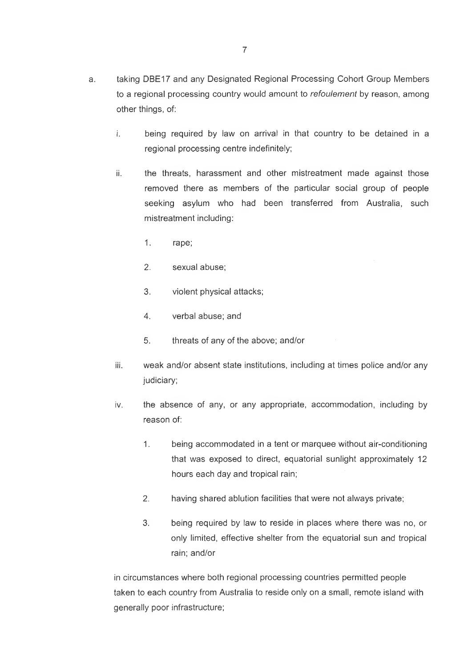- i. being required by law on arrival in that country to be detained in a regional processing centre indefinitely;
- ii. the threats, harassment and other mistreatment made against those removed there as members of the particular social group of people seeking asylum who had been transferred from Australia, such mistreatment including:
	- 1. rape;
	- 2. sexual abuse;
	- 3. violent physical attacks;
	- 4. verbal abuse; and
	- 5. threats of any of the above; and/or
- iii. weak and/or absent state institutions, including at times police and/or any judiciary;
- iv. the absence of any, or any appropriate, accommodation, including by reason of:
	- 1. being accommodated in a tent or marquee without air-conditioning that was exposed to direct, equatorial sunlight approximately 12 hours each day and tropical rain;
	- 2. having shared ablution facilities that were not always private;
	- 3. being required by law to reside in places where there was no, or only limited, effective shelter from the equatorial sun and tropical rain; and/or

in circumstances where both regional processing countries permitted people taken to each country from Australia to reside only on a small, remote island with generally poor infrastructure;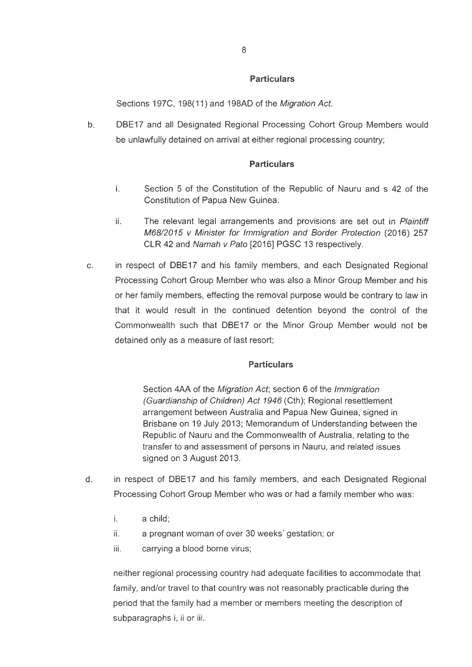Sections 197C, 198(11) and 198AD of the *Migration Act.*

b. DBE17 and all Designated Regional Processing Cohort Group Members would be unlawfully detained on arrival at either regional processing country;

### **Particulars**

- i. Section 5 of the Constitution of the Republic of Nauru and s 42 of the Constitution of Papua New Guinea.
- ii. The relevant legal arrangements and provisions are set out in *Plaintiff M68/2015* v *Minister for Immigration and Border Protection* (2016) 257 CLR 42 and *Namah v Pato* [2016] PGSC 13 respectively.
- c. in respect of DBE17 and his family members, and each Designated Regional Processing Cohort Group Member who was also a Minor Group Member and his or her family members, effecting the removal purpose would be contrary to law in that it would result in the continued detention beyond the control of the Commonwealth such that DBE17 or the Minor Group Member would not be detained only as a measure of last resort;

### **Particulars**

Section 4AA of the *Migration Act,* section 6 of the *Immigration (Guardianship of Children) Act 1946* (Cth); Regional resettlement arrangement between Australia and Papua New Guinea, signed in Brisbane on 19 July 2013; Memorandum of Understanding between the Republic of Nauru and the Commonwealth of Australia, relating to the transfer to and assessment of persons in Nauru, and related issues signed on 3 August 2013.

- d. in respect of DBE17 and his family members, and each Designated Regional Processing Cohort Group Member who was or had a family member who was:
	- i. a child;
	- ii. a pregnant woman of over 30 weeks' gestation; or
	- iii. carrying a blood borne virus;

neither regional processing country had adequate facilities to accommodate that family, and/or travel to that country was not reasonably practicable during the period that the family had a member or members meeting the description of subparagraphs i, ii or iii.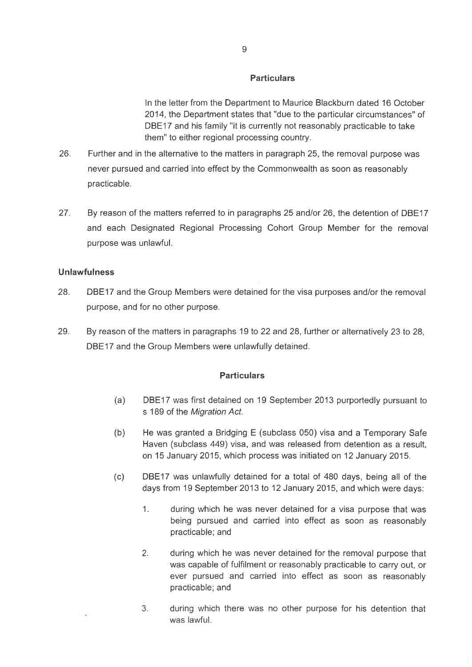In the letter from the Department to Maurice Blackburn dated 16 October 2014, the Department states that "due to the particular circumstances" of DBE17 and his family "it is currently not reasonably practicable to take them" to either regional processing country.

- 26. Further and in the alternative to the matters in paragraph 25, the removal purpose was never pursued and carried into effect by the Commonwealth as soon as reasonably practicable.
- 27. By reason of the matters referred to in paragraphs 25 and/or 26, the detention of DBE17 and each Designated Regional Processing Cohort Group Member for the removal purpose was unlawful.

### **Unlawfulness**

 $\sim$ 

- 28. DBE17 and the Group Members were detained for the visa purposes and/or the removal purpose, and for no other purpose.
- 29. By reason of the matters in paragraphs 19 to 22 and 28, further or alternatively 23 to 28, DBE17 and the Group Members were unlawfully detained.

#### **Particulars**

- (a) DBE17 was first detained on 19 September 2013 purportedly pursuant to s 189 of the *Migration Act.*
- (b) He was granted a Bridging E (subclass 050) visa and a Temporary Safe Haven (subclass 449) visa, and was released from detention as a result, on 15 January 2015, which process was initiated on 12 January 2015.
- (c) DBE17 was unlawfully detained for a total of 480 days, being all of the days from 19 September 2013 to 12 January 2015, and which were days:
	- 1. during which he was never detained for a visa purpose that was being pursued and carried into effect as soon as reasonably practicable; and
	- 2. during which he was never detained for the removal purpose that was capable of fulfilment or reasonably practicable to carry out, or ever pursued and carried into effect as soon as reasonably practicable; and
	- 3. during which there was no other purpose for his detention that was lawful.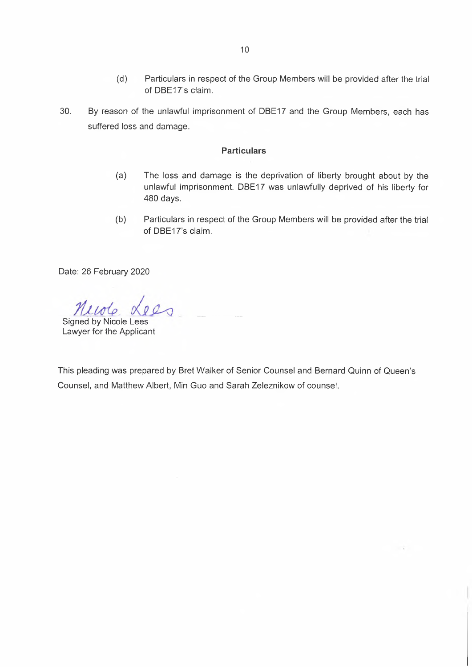- (d) Particulars in respect of the Group Members will be provided after the trial of DBE17's claim.
- 30. By reason of the unlawful imprisonment of DBE17 and the Group Members, each has suffered loss and damage.

- (a) The loss and damage is the deprivation of liberty brought about by the unlawful imprisonment. DBE17 was unlawfully deprived of his liberty for 480 days.
- (b) Particulars in respect of the Group Members will be provided after the trial of DBE17's claim.

 $\sim$  7

Date: 26 February 2020

Signed by Nicole Lees Lawyer for the Applicant

This pleading was prepared by Bret Walker of Senior Counsel and Bernard Quinn of Queen's Counsel, and Matthew Albert, Min Guo and Sarah Zeleznikow of counsel.